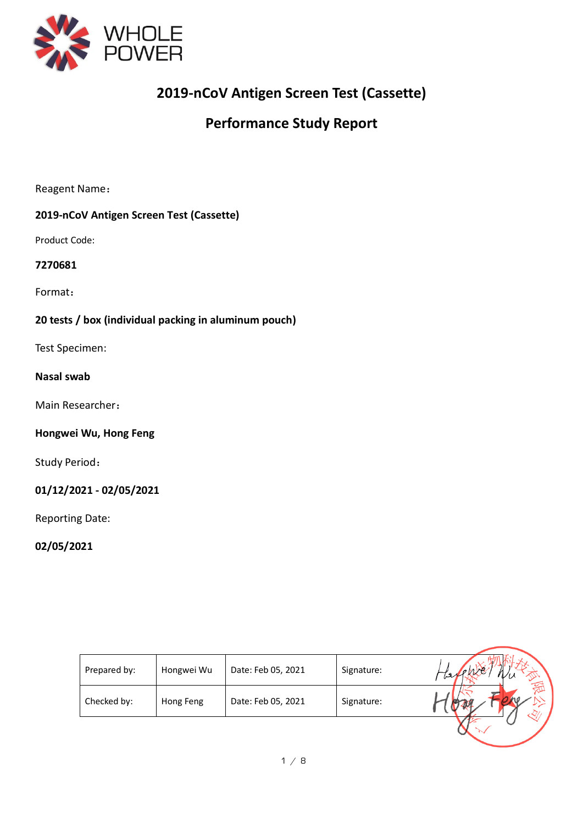

# **2019-nCoV Antigen Screen Test (Cassette)**

# **Performance Study Report**

Reagent Name:

# **2019-nCoV Antigen Screen Test (Cassette)**

Product Code:

#### **7270681**

Format:

# **20 tests / box (individual packing in aluminum pouch)**

Test Specimen:

### **Nasal swab**

Main Researcher:

#### **Hongwei Wu, Hong Feng**

Study Period:

### **01/12/2021 - 02/05/2021**

Reporting Date:

# **02/05/2021**

| Prepared by: | Hongwei Wu | Date: Feb 05, 2021 | Signature: |  |
|--------------|------------|--------------------|------------|--|
| Checked by:  | Hong Feng  | Date: Feb 05, 2021 | Signature: |  |
|              |            |                    |            |  |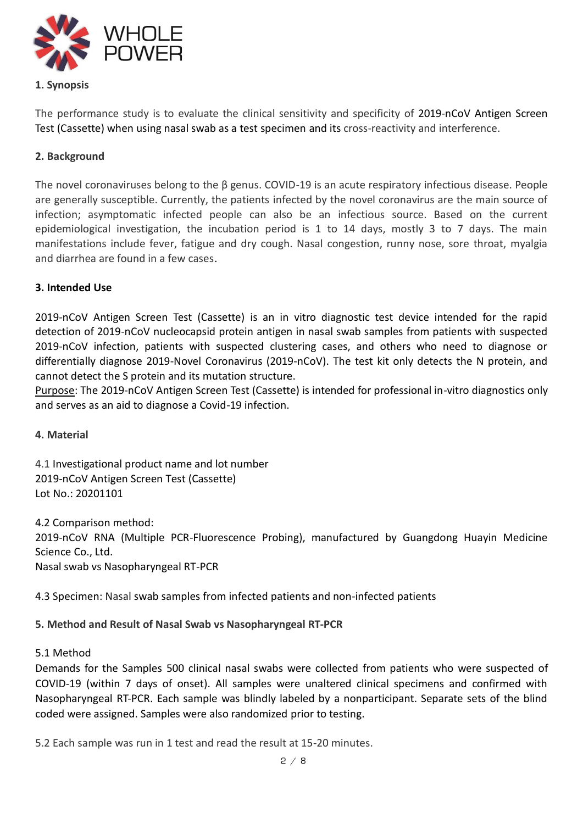

# **1. Synopsis**

The performance study is to evaluate the clinical sensitivity and specificity of 2019-nCoV Antigen Screen Test (Cassette) when using nasal swab as a test specimen and its cross-reactivity and interference.

# **2. Background**

The novel coronaviruses belong to the β genus. COVID-19 is an acute respiratory infectious disease. People are generally susceptible. Currently, the patients infected by the novel coronavirus are the main source of infection; asymptomatic infected people can also be an infectious source. Based on the current epidemiological investigation, the incubation period is 1 to 14 days, mostly 3 to 7 days. The main manifestations include fever, fatigue and dry cough. Nasal congestion, runny nose, sore throat, myalgia and diarrhea are found in a few cases.

#### **3. Intended Use**

2019-nCoV Antigen Screen Test (Cassette) is an in vitro diagnostic test device intended for the rapid detection of 2019-nCoV nucleocapsid protein antigen in nasal swab samples from patients with suspected 2019-nCoV infection, patients with suspected clustering cases, and others who need to diagnose or differentially diagnose 2019-Novel Coronavirus (2019-nCoV). The test kit only detects the N protein, and cannot detect the S protein and its mutation structure.

Purpose: The 2019-nCoV Antigen Screen Test (Cassette) is intended for professional in-vitro diagnostics only and serves as an aid to diagnose a Covid-19 infection.

#### **4. Material**

4.1 Investigational product name and lot number 2019-nCoV Antigen Screen Test (Cassette) Lot No.: 20201101

4.2 Comparison method: 2019-nCoV RNA (Multiple PCR-Fluorescence Probing), manufactured by Guangdong Huayin Medicine Science Co., Ltd. Nasal swab vs Nasopharyngeal RT-PCR

4.3 Specimen: Nasal swab samples from infected patients and non-infected patients

# **5. Method and Result of Nasal Swab vs Nasopharyngeal RT-PCR**

#### 5.1 Method

Demands for the Samples 500 clinical nasal swabs were collected from patients who were suspected of COVID-19 (within 7 days of onset). All samples were unaltered clinical specimens and confirmed with Nasopharyngeal RT-PCR. Each sample was blindly labeled by a nonparticipant. Separate sets of the blind coded were assigned. Samples were also randomized prior to testing.

5.2 Each sample was run in 1 test and read the result at 15-20 minutes.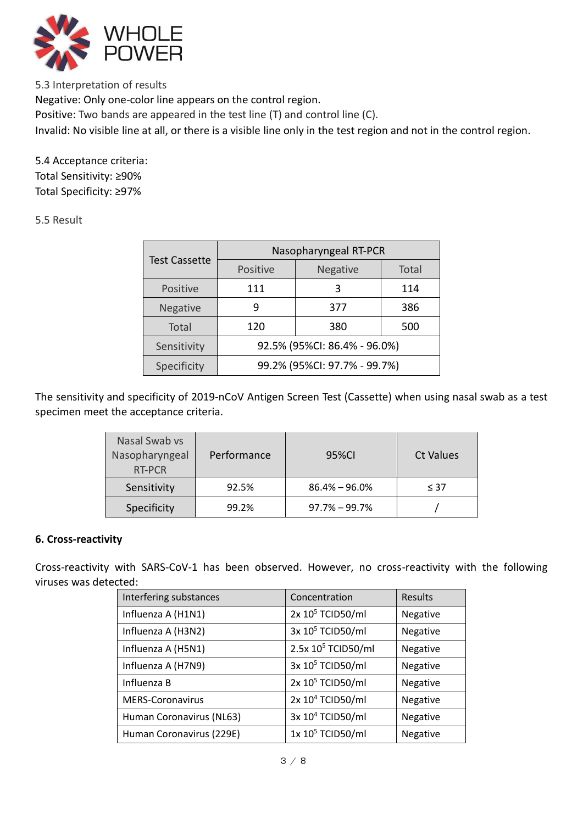

5.3 Interpretation of results Negative: Only one-color line appears on the control region. Positive: Two bands are appeared in the test line (T) and control line (C). Invalid: No visible line at all, or there is a visible line only in the test region and not in the control region.

5.4 Acceptance criteria: Total Sensitivity: ≥90% Total Specificity: ≥97%

5.5 Result

|                      | Nasopharyngeal RT-PCR        |          |              |  |  |  |  |
|----------------------|------------------------------|----------|--------------|--|--|--|--|
| <b>Test Cassette</b> | Positive                     | Negative | <b>Total</b> |  |  |  |  |
| Positive             | 111                          | 3        | 114          |  |  |  |  |
| <b>Negative</b>      | q                            | 377      | 386          |  |  |  |  |
| Total                | 120                          | 380      | 500          |  |  |  |  |
| Sensitivity          | 92.5% (95%CI: 86.4% - 96.0%) |          |              |  |  |  |  |
| Specificity          | 99.2% (95%CI: 97.7% - 99.7%) |          |              |  |  |  |  |

The sensitivity and specificity of 2019-nCoV Antigen Screen Test (Cassette) when using nasal swab as a test specimen meet the acceptance criteria.

| Nasal Swab vs<br>Nasopharyngeal<br><b>RT-PCR</b> | Performance | 95%CI             | <b>Ct Values</b> |
|--------------------------------------------------|-------------|-------------------|------------------|
| Sensitivity                                      | 92.5%       | $86.4\% - 96.0\%$ | $\leq 37$        |
| Specificity                                      | 99.2%       | $97.7\% - 99.7\%$ |                  |

# **6. Cross-reactivity**

Cross-reactivity with SARS-CoV-1 has been observed. However, no cross-reactivity with the following viruses was detected:

| Interfering substances   | Concentration                  | <b>Results</b> |
|--------------------------|--------------------------------|----------------|
| Influenza A (H1N1)       | 2x 10 <sup>5</sup> TCID50/ml   | Negative       |
| Influenza A (H3N2)       | 3x 10 <sup>5</sup> TCID50/ml   | Negative       |
| Influenza A (H5N1)       | 2.5x 10 <sup>5</sup> TCID50/ml | Negative       |
| Influenza A (H7N9)       | 3x 10 <sup>5</sup> TCID50/ml   | Negative       |
| Influenza B              | 2x 10 <sup>5</sup> TCID50/ml   | Negative       |
| <b>MERS-Coronavirus</b>  | 2x 10 <sup>4</sup> TCID50/ml   | Negative       |
| Human Coronavirus (NL63) | 3x 10 <sup>4</sup> TCID50/ml   | Negative       |
| Human Coronavirus (229E) | 1x 10 <sup>5</sup> TCID50/ml   | Negative       |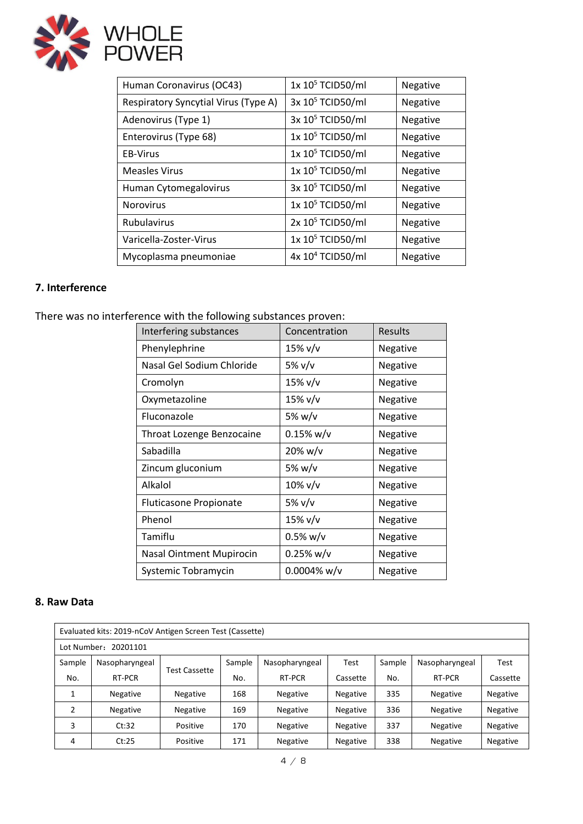

| Human Coronavirus (OC43)             | 1x 10 <sup>5</sup> TCID50/ml | Negative |
|--------------------------------------|------------------------------|----------|
| Respiratory Syncytial Virus (Type A) | 3x 10 <sup>5</sup> TCID50/ml | Negative |
| Adenovirus (Type 1)                  | 3x 10 <sup>5</sup> TCID50/ml | Negative |
| Enterovirus (Type 68)                | 1x 10 <sup>5</sup> TCID50/ml | Negative |
| <b>EB-Virus</b>                      | 1x 10 <sup>5</sup> TCID50/ml | Negative |
| <b>Measles Virus</b>                 | 1x 10 <sup>5</sup> TCID50/ml | Negative |
| Human Cytomegalovirus                | 3x 10 <sup>5</sup> TCID50/ml | Negative |
| <b>Norovirus</b>                     | 1x 10 <sup>5</sup> TCID50/ml | Negative |
| <b>Rubulavirus</b>                   | 2x 10 <sup>5</sup> TCID50/ml | Negative |
| Varicella-Zoster-Virus               | 1x 10 <sup>5</sup> TCID50/ml | Negative |
| Mycoplasma pneumoniae                | 4x 10 <sup>4</sup> TCID50/ml | Negative |

# **7. Interference**

There was no interference with the following substances proven:

| Interfering substances          | Concentration  | Results  |
|---------------------------------|----------------|----------|
| Phenylephrine                   | 15% v/v        | Negative |
| Nasal Gel Sodium Chloride       | 5% v/v         | Negative |
| Cromolyn                        | 15% v/v        | Negative |
| Oxymetazoline                   | 15% v/v        | Negative |
| Fluconazole                     | 5% w/v         | Negative |
| Throat Lozenge Benzocaine       | 0.15% w/v      | Negative |
| Sabadilla                       | 20% w/v        | Negative |
| Zincum gluconium                | 5% w/v         | Negative |
| Alkalol                         | $10\%$ v/v     | Negative |
| <b>Fluticasone Propionate</b>   | 5% v/v         | Negative |
| Phenol                          | 15% v/v        | Negative |
| Tamiflu                         | $0.5\%$ w/v    | Negative |
| <b>Nasal Ointment Mupirocin</b> | 0.25% w/v      | Negative |
| Systemic Tobramycin             | $0.0004\%$ w/v | Negative |

#### **8. Raw Data**

| Evaluated kits: 2019-nCoV Antigen Screen Test (Cassette) |                |               |        |                 |                 |        |                 |                 |  |
|----------------------------------------------------------|----------------|---------------|--------|-----------------|-----------------|--------|-----------------|-----------------|--|
| 20201101<br>Lot Number:                                  |                |               |        |                 |                 |        |                 |                 |  |
| Sample                                                   | Nasopharyngeal |               | Sample | Nasopharyngeal  | Test            | Sample | Nasopharyngeal  | Test            |  |
| No.                                                      | RT-PCR         | Test Cassette | No.    | RT-PCR          | Cassette        | No.    | RT-PCR          | Cassette        |  |
|                                                          | Negative       | Negative      | 168    | <b>Negative</b> | Negative        | 335    | <b>Negative</b> | Negative        |  |
| 2                                                        | Negative       | Negative      | 169    | <b>Negative</b> | <b>Negative</b> | 336    | <b>Negative</b> | <b>Negative</b> |  |
| 3                                                        | Ct:32          | Positive      | 170    | <b>Negative</b> | <b>Negative</b> | 337    | <b>Negative</b> | <b>Negative</b> |  |
| 4                                                        | Ct:25          | Positive      | 171    | <b>Negative</b> | Negative        | 338    | <b>Negative</b> | Negative        |  |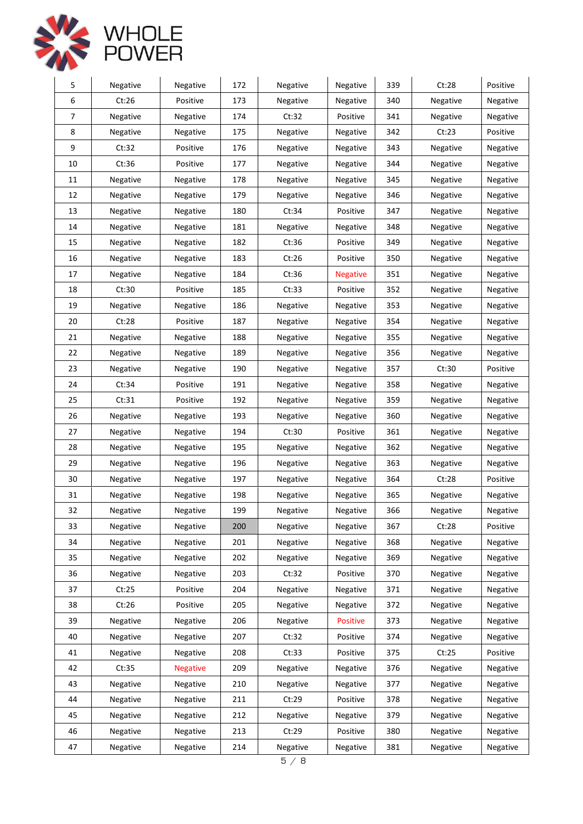



| 5              | Negative | Negative        | 172 | Negative          | Negative        | 339 | Ct:28    | Positive |
|----------------|----------|-----------------|-----|-------------------|-----------------|-----|----------|----------|
| 6              | Ct:26    | Positive        | 173 | Negative          | Negative        | 340 | Negative | Negative |
| $\overline{7}$ | Negative | Negative        | 174 | Ct:32             | Positive        | 341 | Negative | Negative |
| 8              | Negative | Negative        | 175 | Negative          | Negative        | 342 | Ct:23    | Positive |
| 9              | Ct:32    | Positive        | 176 | Negative          | Negative        | 343 | Negative | Negative |
| 10             | Ct:36    | Positive        | 177 | Negative          | Negative        | 344 | Negative | Negative |
| 11             | Negative | Negative        | 178 | Negative          | Negative        | 345 | Negative | Negative |
| 12             | Negative | Negative        | 179 | Negative          | Negative        | 346 | Negative | Negative |
| 13             | Negative | Negative        | 180 | Ct:34             | Positive        | 347 | Negative | Negative |
| 14             | Negative | Negative        | 181 | Negative          | Negative        | 348 | Negative | Negative |
| 15             | Negative | Negative        | 182 | Ct:36             | Positive        | 349 | Negative | Negative |
| 16             | Negative | Negative        | 183 | Ct:26             | Positive        | 350 | Negative | Negative |
| 17             | Negative | Negative        | 184 | Ct:36             | <b>Negative</b> | 351 | Negative | Negative |
| 18             | Ct:30    | Positive        | 185 | Ct:33             | Positive        | 352 | Negative | Negative |
| 19             | Negative | Negative        | 186 | Negative          | Negative        | 353 | Negative | Negative |
| 20             | Ct:28    | Positive        | 187 | Negative          | Negative        | 354 | Negative | Negative |
| 21             | Negative | Negative        | 188 | Negative          | Negative        | 355 | Negative | Negative |
| 22             | Negative | Negative        | 189 | Negative          | Negative        | 356 | Negative | Negative |
| 23             | Negative | Negative        | 190 | Negative          | Negative        | 357 | Ct:30    | Positive |
| 24             | Ct:34    | Positive        | 191 | Negative          | <b>Negative</b> | 358 | Negative | Negative |
| 25             | Ct:31    | Positive        | 192 | Negative          | Negative        | 359 | Negative | Negative |
| 26             | Negative | Negative        | 193 | Negative          | Negative        | 360 | Negative | Negative |
| 27             | Negative | Negative        | 194 | Ct:30             | Positive        | 361 | Negative | Negative |
| 28             | Negative | Negative        | 195 | Negative          | Negative        | 362 | Negative | Negative |
| 29             | Negative | Negative        | 196 | Negative          | Negative        | 363 | Negative | Negative |
| 30             | Negative | Negative        | 197 | Negative          | Negative        | 364 | Ct:28    | Positive |
| 31             | Negative | Negative        | 198 | Negative          | Negative        | 365 | Negative | Negative |
| 32             | Negative | Negative        | 199 | Negative          | Negative        | 366 | Negative | Negative |
| 33             | Negative | Negative        | 200 | Negative          | Negative        | 367 | Ct:28    | Positive |
| 34             | Negative | Negative        | 201 | Negative          | Negative        | 368 | Negative | Negative |
| 35             | Negative | Negative        | 202 | Negative          | Negative        | 369 | Negative | Negative |
| 36             | Negative | Negative        | 203 | Ct:32             | Positive        | 370 | Negative | Negative |
| 37             | Ct:25    | Positive        | 204 | Negative          | Negative        | 371 | Negative | Negative |
| 38             | Ct:26    | Positive        | 205 | Negative          | Negative        | 372 | Negative | Negative |
| 39             | Negative | Negative        | 206 | Negative          | <b>Positive</b> | 373 | Negative | Negative |
| 40             | Negative | Negative        | 207 | Ct:32             | Positive        | 374 | Negative | Negative |
| 41             | Negative | Negative        | 208 | Ct:33             | Positive        | 375 | Ct:25    | Positive |
| 42             | Ct:35    | <b>Negative</b> | 209 | Negative          | Negative        | 376 | Negative | Negative |
| 43             | Negative | Negative        | 210 | Negative          | Negative        | 377 | Negative | Negative |
| 44             | Negative | Negative        | 211 | Ct:29             | Positive        | 378 | Negative | Negative |
| 45             | Negative | Negative        | 212 | Negative          | Negative        | 379 | Negative | Negative |
| 46             | Negative | Negative        | 213 | Ct:29             | Positive        | 380 | Negative | Negative |
| 47             | Negative | Negative        | 214 | Negative<br>F / Q | Negative        | 381 | Negative | Negative |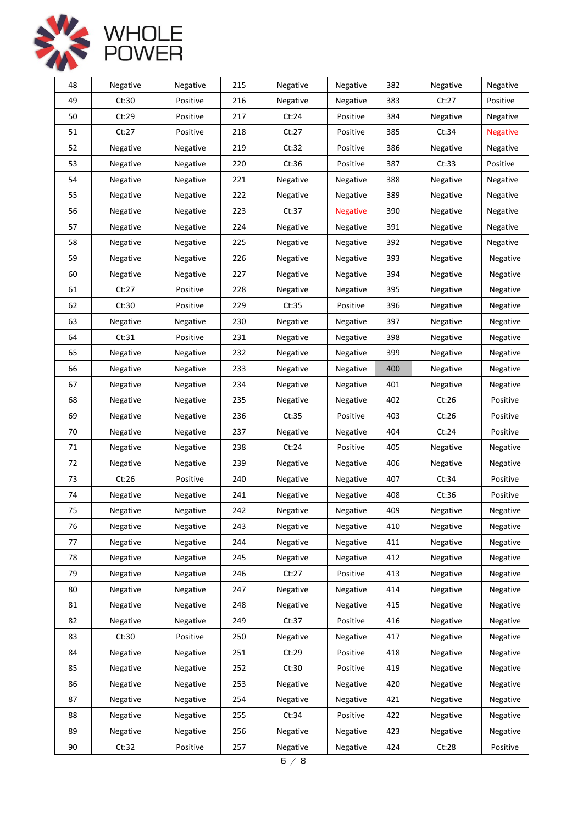

| 48 | Negative | Negative | 215 | Negative | Negative        | 382 | Negative | Negative        |
|----|----------|----------|-----|----------|-----------------|-----|----------|-----------------|
| 49 | Ct:30    | Positive | 216 | Negative | Negative        | 383 | Ct:27    | Positive        |
| 50 | Ct:29    | Positive | 217 | Ct:24    | Positive        | 384 | Negative | Negative        |
| 51 | Ct:27    | Positive | 218 | Ct:27    | Positive        | 385 | Ct:34    | <b>Negative</b> |
| 52 | Negative | Negative | 219 | Ct:32    | Positive        | 386 | Negative | Negative        |
| 53 | Negative | Negative | 220 | Ct:36    | Positive        | 387 | Ct:33    | Positive        |
| 54 | Negative | Negative | 221 | Negative | Negative        | 388 | Negative | Negative        |
| 55 | Negative | Negative | 222 | Negative | Negative        | 389 | Negative | Negative        |
| 56 | Negative | Negative | 223 | Ct:37    | <b>Negative</b> | 390 | Negative | Negative        |
| 57 | Negative | Negative | 224 | Negative | Negative        | 391 | Negative | Negative        |
| 58 | Negative | Negative | 225 | Negative | Negative        | 392 | Negative | Negative        |
| 59 | Negative | Negative | 226 | Negative | Negative        | 393 | Negative | Negative        |
| 60 | Negative | Negative | 227 | Negative | Negative        | 394 | Negative | Negative        |
| 61 | Ct:27    | Positive | 228 | Negative | Negative        | 395 | Negative | Negative        |
| 62 | Ct:30    | Positive | 229 | Ct:35    | Positive        | 396 | Negative | Negative        |
| 63 | Negative | Negative | 230 | Negative | Negative        | 397 | Negative | Negative        |
| 64 | Ct:31    | Positive | 231 | Negative | Negative        | 398 | Negative | Negative        |
| 65 | Negative | Negative | 232 | Negative | Negative        | 399 | Negative | Negative        |
| 66 | Negative | Negative | 233 | Negative | Negative        | 400 | Negative | Negative        |
| 67 | Negative | Negative | 234 | Negative | Negative        | 401 | Negative | Negative        |
| 68 | Negative | Negative | 235 | Negative | Negative        | 402 | Ct:26    | Positive        |
| 69 | Negative | Negative | 236 | Ct:35    | Positive        | 403 | Ct:26    | Positive        |
| 70 | Negative | Negative | 237 | Negative | Negative        | 404 | Ct:24    | Positive        |
| 71 | Negative | Negative | 238 | Ct:24    | Positive        | 405 | Negative | Negative        |
| 72 | Negative | Negative | 239 | Negative | Negative        | 406 | Negative | Negative        |
| 73 | Ct:26    | Positive | 240 | Negative | Negative        | 407 | Ct:34    | Positive        |
| 74 | Negative | Negative | 241 | Negative | Negative        | 408 | Ct:36    | Positive        |
| 75 | Negative | Negative | 242 | Negative | Negative        | 409 | Negative | Negative        |
| 76 | Negative | Negative | 243 | Negative | Negative        | 410 | Negative | Negative        |
| 77 | Negative | Negative | 244 | Negative | Negative        | 411 | Negative | Negative        |
| 78 | Negative | Negative | 245 | Negative | Negative        | 412 | Negative | Negative        |
| 79 | Negative | Negative | 246 | Ct:27    | Positive        | 413 | Negative | Negative        |
| 80 | Negative | Negative | 247 | Negative | Negative        | 414 | Negative | Negative        |
| 81 | Negative | Negative | 248 | Negative | Negative        | 415 | Negative | Negative        |
| 82 | Negative | Negative | 249 | Ct:37    | Positive        | 416 | Negative | Negative        |
| 83 | Ct:30    | Positive | 250 | Negative | Negative        | 417 | Negative | Negative        |
| 84 | Negative | Negative | 251 | Ct:29    | Positive        | 418 | Negative | Negative        |
| 85 | Negative | Negative | 252 | Ct:30    | Positive        | 419 | Negative | Negative        |
| 86 | Negative | Negative | 253 | Negative | Negative        | 420 | Negative | Negative        |
| 87 | Negative | Negative | 254 | Negative | Negative        | 421 | Negative | Negative        |
| 88 | Negative | Negative | 255 | Ct:34    | Positive        | 422 | Negative | Negative        |
| 89 | Negative | Negative | 256 | Negative | Negative        | 423 | Negative | Negative        |
| 90 | Ct:32    | Positive | 257 | Negative | Negative        | 424 | Ct:28    | Positive        |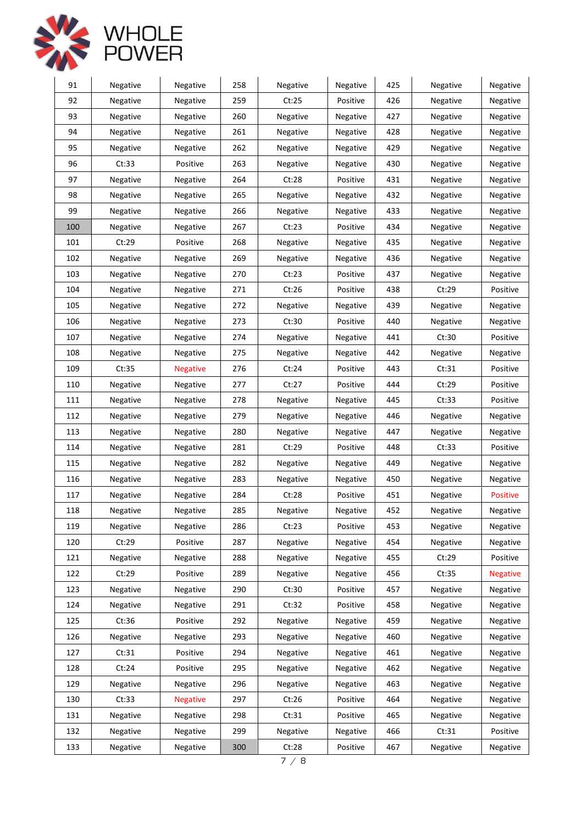



| 91  | Negative | Negative        | 258 | Negative | Negative | 425 | Negative | Negative        |
|-----|----------|-----------------|-----|----------|----------|-----|----------|-----------------|
| 92  | Negative | Negative        | 259 | Ct:25    | Positive | 426 | Negative | Negative        |
| 93  | Negative | Negative        | 260 | Negative | Negative | 427 | Negative | Negative        |
| 94  | Negative | Negative        | 261 | Negative | Negative | 428 | Negative | Negative        |
| 95  | Negative | Negative        | 262 | Negative | Negative | 429 | Negative | Negative        |
| 96  | Ct:33    | Positive        | 263 | Negative | Negative | 430 | Negative | Negative        |
| 97  | Negative | Negative        | 264 | Ct:28    | Positive | 431 | Negative | Negative        |
| 98  | Negative | Negative        | 265 | Negative | Negative | 432 | Negative | Negative        |
| 99  | Negative | Negative        | 266 | Negative | Negative | 433 | Negative | Negative        |
| 100 | Negative | Negative        | 267 | Ct:23    | Positive | 434 | Negative | Negative        |
| 101 | Ct:29    | Positive        | 268 | Negative | Negative | 435 | Negative | Negative        |
| 102 | Negative | Negative        | 269 | Negative | Negative | 436 | Negative | Negative        |
| 103 | Negative | Negative        | 270 | Ct:23    | Positive | 437 | Negative | Negative        |
| 104 | Negative | Negative        | 271 | Ct:26    | Positive | 438 | Ct:29    | Positive        |
| 105 | Negative | Negative        | 272 | Negative | Negative | 439 | Negative | Negative        |
| 106 | Negative | Negative        | 273 | Ct:30    | Positive | 440 | Negative | Negative        |
| 107 | Negative | Negative        | 274 | Negative | Negative | 441 | Ct:30    | Positive        |
| 108 | Negative | Negative        | 275 | Negative | Negative | 442 | Negative | Negative        |
| 109 | Ct:35    | <b>Negative</b> | 276 | Ct:24    | Positive | 443 | Ct:31    | Positive        |
| 110 | Negative | Negative        | 277 | Ct:27    | Positive | 444 | Ct:29    | Positive        |
| 111 | Negative | Negative        | 278 | Negative | Negative | 445 | Ct:33    | Positive        |
| 112 | Negative | Negative        | 279 | Negative | Negative | 446 | Negative | Negative        |
| 113 | Negative | Negative        | 280 | Negative | Negative | 447 | Negative | Negative        |
| 114 | Negative | Negative        | 281 | Ct:29    | Positive | 448 | Ct:33    | Positive        |
| 115 | Negative | Negative        | 282 | Negative | Negative | 449 | Negative | Negative        |
| 116 | Negative | Negative        | 283 | Negative | Negative | 450 | Negative | Negative        |
| 117 | Negative | Negative        | 284 | Ct:28    | Positive | 451 | Negative | Positive        |
| 118 | Negative | Negative        | 285 | Negative | Negative | 452 | Negative | Negative        |
| 119 | Negative | Negative        | 286 | Ct:23    | Positive | 453 | Negative | Negative        |
| 120 | Ct:29    | Positive        | 287 | Negative | Negative | 454 | Negative | Negative        |
| 121 | Negative | Negative        | 288 | Negative | Negative | 455 | Ct:29    | Positive        |
| 122 | Ct:29    | Positive        | 289 | Negative | Negative | 456 | Ct:35    | <b>Negative</b> |
| 123 | Negative | Negative        | 290 | Ct:30    | Positive | 457 | Negative | Negative        |
| 124 | Negative | Negative        | 291 | Ct:32    | Positive | 458 | Negative | Negative        |
| 125 | Ct:36    | Positive        | 292 | Negative | Negative | 459 | Negative | Negative        |
| 126 | Negative | Negative        | 293 | Negative | Negative | 460 | Negative | Negative        |
| 127 | Ct:31    | Positive        | 294 | Negative | Negative | 461 | Negative | Negative        |
| 128 | Ct:24    | Positive        | 295 | Negative | Negative | 462 | Negative | Negative        |
| 129 | Negative | Negative        | 296 | Negative | Negative | 463 | Negative | Negative        |
| 130 | Ct:33    | <b>Negative</b> | 297 | Ct:26    | Positive | 464 | Negative | Negative        |
| 131 | Negative | Negative        | 298 | Ct:31    | Positive | 465 | Negative | Negative        |
| 132 | Negative | Negative        | 299 | Negative | Negative | 466 | Ct:31    | Positive        |
| 133 | Negative | Negative        | 300 | Ct:28    | Positive | 467 | Negative | Negative        |